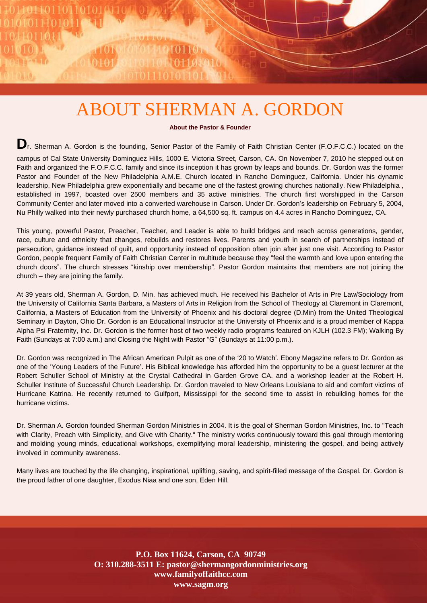## ABOUT SHERMAN A. GORDON

**HOLLOL** 01101101101010

011101011011010

10110110110101

**About the Pastor & Founder**

 $D$ r. Sherman A. Gordon is the founding, Senior Pastor of the Family of Faith Christian Center (F.O.F.C.C.) located on the

campus of Cal State University Dominguez Hills, 1000 E. Victoria Street, Carson, CA. On November 7, 2010 he stepped out on Faith and organized the F.O.F.C.C. family and since its inception it has grown by leaps and bounds. Dr. Gordon was the former Pastor and Founder of the New Philadelphia A.M.E. Church located in Rancho Dominguez, California. Under his dynamic leadership, New Philadelphia grew exponentially and became one of the fastest growing churches nationally. New Philadelphia , established in 1997, boasted over 2500 members and 35 active ministries. The church first worshipped in the Carson Community Center and later moved into a converted warehouse in Carson. Under Dr. Gordon"s leadership on February 5, 2004, Nu Philly walked into their newly purchased church home, a 64,500 sq. ft. campus on 4.4 acres in Rancho Dominguez, CA.

This young, powerful Pastor, Preacher, Teacher, and Leader is able to build bridges and reach across generations, gender, race, culture and ethnicity that changes, rebuilds and restores lives. Parents and youth in search of partnerships instead of persecution, guidance instead of guilt, and opportunity instead of opposition often join after just one visit. According to Pastor Gordon, people frequent Family of Faith Christian Center in multitude because they "feel the warmth and love upon entering the church doors". The church stresses "kinship over membership". Pastor Gordon maintains that members are not joining the church – they are joining the family.

At 39 years old, Sherman A. Gordon, D. Min. has achieved much. He received his Bachelor of Arts in Pre Law/Sociology from the University of California Santa Barbara, a Masters of Arts in Religion from the School of Theology at Claremont in Claremont, California, a Masters of Education from the University of Phoenix and his doctoral degree (D.Min) from the United Theological Seminary in Dayton, Ohio Dr. Gordon is an Educational Instructor at the University of Phoenix and is a proud member of Kappa Alpha Psi Fraternity, Inc. Dr. Gordon is the former host of two weekly radio programs featured on KJLH (102.3 FM); Walking By Faith (Sundays at 7:00 a.m.) and Closing the Night with Pastor "G" (Sundays at 11:00 p.m.).

Dr. Gordon was recognized in The African American Pulpit as one of the "20 to Watch". Ebony Magazine refers to Dr. Gordon as one of the "Young Leaders of the Future". His Biblical knowledge has afforded him the opportunity to be a guest lecturer at the Robert Schuller School of Ministry at the Crystal Cathedral in Garden Grove CA. and a workshop leader at the Robert H. Schuller Institute of Successful Church Leadership. Dr. Gordon traveled to New Orleans Louisiana to aid and comfort victims of Hurricane Katrina. He recently returned to Gulfport, Mississippi for the second time to assist in rebuilding homes for the hurricane victims.

Dr. Sherman A. Gordon founded Sherman Gordon Ministries in 2004. It is the goal of Sherman Gordon Ministries, Inc. to "Teach with Clarity, Preach with Simplicity, and Give with Charity." The ministry works continuously toward this goal through mentoring and molding young minds, educational workshops, exemplifying moral leadership, ministering the gospel, and being actively involved in community awareness.

Many lives are touched by the life changing, inspirational, uplifting, saving, and spirit-filled message of the Gospel. Dr. Gordon is the proud father of one daughter, Exodus Niaa and one son, Eden Hill.

> **P.O. Box 11624, Carson, CA 90749 O: 310.288-3511 E: [pastor@shermangordonministries.org](mailto:pastor@shermangordonministries.org) www.familyoffaithcc.com www.sagm.org**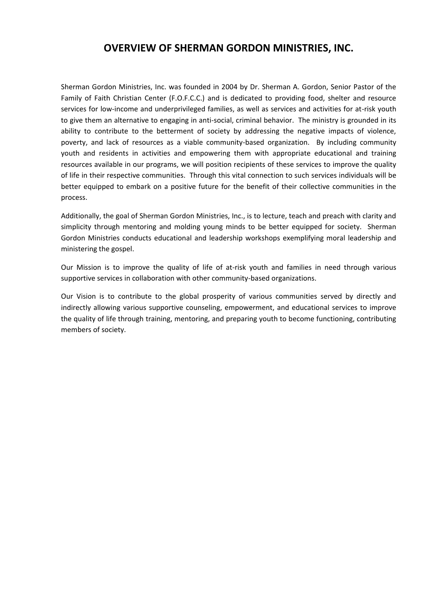## **OVERVIEW OF SHERMAN GORDON MINISTRIES, INC.**

Sherman Gordon Ministries, Inc. was founded in 2004 by Dr. Sherman A. Gordon, Senior Pastor of the Family of Faith Christian Center (F.O.F.C.C.) and is dedicated to providing food, shelter and resource services for low-income and underprivileged families, as well as services and activities for at-risk youth to give them an alternative to engaging in anti-social, criminal behavior. The ministry is grounded in its ability to contribute to the betterment of society by addressing the negative impacts of violence, poverty, and lack of resources as a viable community-based organization. By including community youth and residents in activities and empowering them with appropriate educational and training resources available in our programs, we will position recipients of these services to improve the quality of life in their respective communities. Through this vital connection to such services individuals will be better equipped to embark on a positive future for the benefit of their collective communities in the process.

Additionally, the goal of Sherman Gordon Ministries, Inc., is to lecture, teach and preach with clarity and simplicity through mentoring and molding young minds to be better equipped for society. Sherman Gordon Ministries conducts educational and leadership workshops exemplifying moral leadership and ministering the gospel.

Our Mission is to improve the quality of life of at-risk youth and families in need through various supportive services in collaboration with other community-based organizations.

Our Vision is to contribute to the global prosperity of various communities served by directly and indirectly allowing various supportive counseling, empowerment, and educational services to improve the quality of life through training, mentoring, and preparing youth to become functioning, contributing members of society.